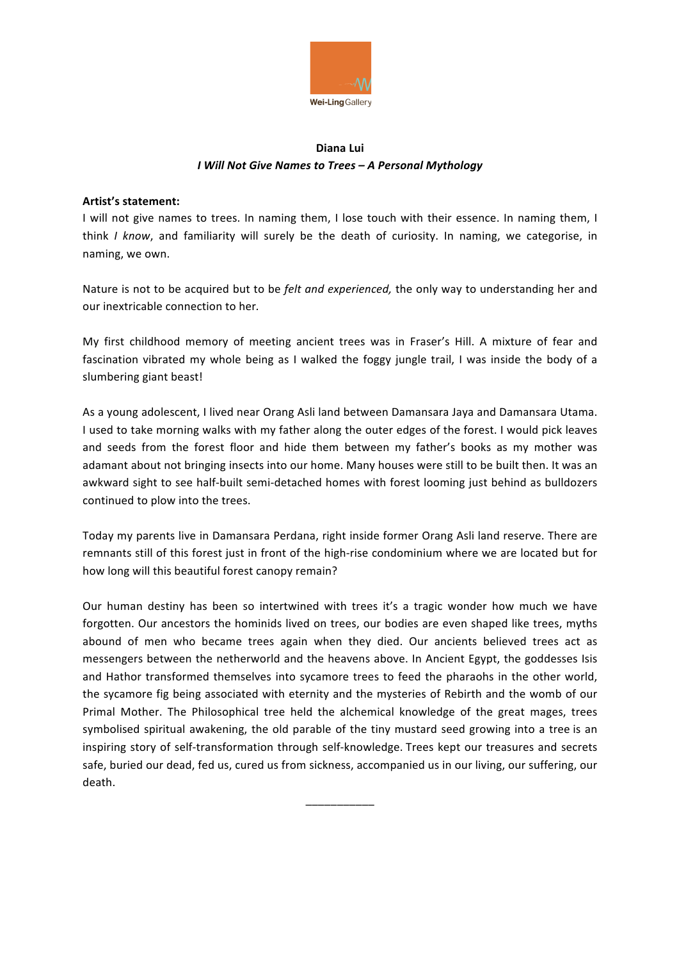

## **Diana Lui** *I Will Not Give Names to Trees – A Personal Mythology*

## **Artist's statement:**

I will not give names to trees. In naming them, I lose touch with their essence. In naming them, I think *I know*, and familiarity will surely be the death of curiosity. In naming, we categorise, in naming, we own.

Nature is not to be acquired but to be *felt and experienced,* the only way to understanding her and our inextricable connection to her*.*

My first childhood memory of meeting ancient trees was in Fraser's Hill. A mixture of fear and fascination vibrated my whole being as I walked the foggy jungle trail, I was inside the body of a slumbering giant beast!

As a young adolescent, I lived near Orang Asli land between Damansara Jaya and Damansara Utama. I used to take morning walks with my father along the outer edges of the forest. I would pick leaves and seeds from the forest floor and hide them between my father's books as my mother was adamant about not bringing insects into our home. Many houses were still to be built then. It was an awkward sight to see half-built semi-detached homes with forest looming just behind as bulldozers continued to plow into the trees.

Today my parents live in Damansara Perdana, right inside former Orang Asli land reserve. There are remnants still of this forest just in front of the high-rise condominium where we are located but for how long will this beautiful forest canopy remain?

Our human destiny has been so intertwined with trees it's a tragic wonder how much we have forgotten. Our ancestors the hominids lived on trees, our bodies are even shaped like trees, myths abound of men who became trees again when they died. Our ancients believed trees act as messengers between the netherworld and the heavens above. In Ancient Egypt, the goddesses Isis and Hathor transformed themselves into sycamore trees to feed the pharaohs in the other world, the sycamore fig being associated with eternity and the mysteries of Rebirth and the womb of our Primal Mother. The Philosophical tree held the alchemical knowledge of the great mages, trees symbolised spiritual awakening, the old parable of the tiny mustard seed growing into a tree is an inspiring story of self-transformation through self-knowledge. Trees kept our treasures and secrets safe, buried our dead, fed us, cured us from sickness, accompanied us in our living, our suffering, our death.

\_\_\_\_\_\_\_\_\_\_\_